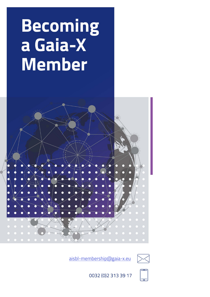# **Becoming** a Gaia-X **Member**



aisbl-membership@gaia-x.eu





0032 (0) 2 3 1 3 3 9 1 7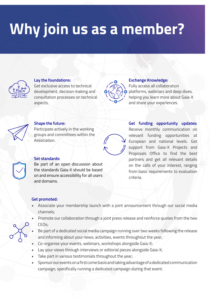# Why join us as a member?



### **Lay the foundations:**

Get exclusive access to technical development, decision making and consultation processes on technical aspects.



### **Exchange Knowledge:**

Fully access all collaboration platforms, webinars and deep dives, helping you learn more about Gaia-X and share your experiences.



### **Shape the future:**

Participate actively in the working groups and committees within the Association.



### **Set standards:**

Be part of an open discussion about the standards Gaia-X should be based on and ensure accessibility for all users and domains.

**Get funding opportunity updates:** Receive monthly communication on relevant funding opportunities at European and national levels. Get support from Gaia-X Projects and Proposals Office to find the best partners and get all relevant details on the calls of your interest, ranging from basic requirements to evaluation criteria.

### **Get promoted:**

- Associate your membership launch with a joint announcement through our social media channels;
- Promote our collaboration through a joint press release and reinforce quotes from the two CEOs;
- Be part of a dedicated social media campaign running over two weeks following the release and informing about your news, activities, events throughout the year;
- Co-organise your events, webinars, workshops alongside Gaia-X;
- Lay your views through interviews or editorial pieces alongside Gaia-X;
- Take part in various testimonials throughout the year;
- Sponsor our events on a first come basis and taking advantage of a dedicated communication campaign, specifically running a dedicated campaign during that event.